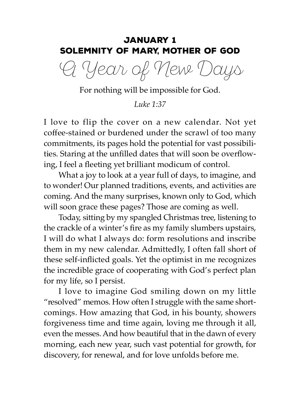# January 1 Solemnity of Mary, Mother of God

A Year of New Days

For nothing will be impossible for God.

*Luke 1:37*

I love to flip the cover on a new calendar. Not yet coffee-stained or burdened under the scrawl of too many commitments, its pages hold the potential for vast possibilities. Staring at the unfilled dates that will soon be overflowing, I feel a fleeting yet brilliant modicum of control.

What a joy to look at a year full of days, to imagine, and to wonder! Our planned traditions, events, and activities are coming. And the many surprises, known only to God, which will soon grace these pages? Those are coming as well.

Today, sitting by my spangled Christmas tree, listening to the crackle of a winter's fire as my family slumbers upstairs, I will do what I always do: form resolutions and inscribe them in my new calendar. Admittedly, I often fall short of these self-inflicted goals. Yet the optimist in me recognizes the incredible grace of cooperating with God's perfect plan for my life, so I persist.

I love to imagine God smiling down on my little "resolved" memos. How often I struggle with the same shortcomings. How amazing that God, in his bounty, showers forgiveness time and time again, loving me through it all, even the messes. And how beautiful that in the dawn of every morning, each new year, such vast potential for growth, for discovery, for renewal, and for love unfolds before me.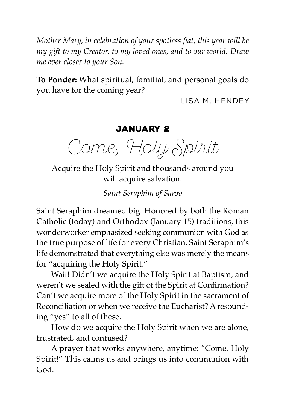*Mother Mary, in celebration of your spotless fiat, this year will be my gift to my Creator, to my loved ones, and to our world. Draw me ever closer to your Son.*

**To Ponder:** What spiritual, familial, and personal goals do you have for the coming year?

Lisa M. Hendey

## January 2

Come, Holy Spirit

Acquire the Holy Spirit and thousands around you will acquire salvation.

*Saint Seraphim of Sarov*

Saint Seraphim dreamed big. Honored by both the Roman Catholic (today) and Orthodox (January 15) traditions, this wonderworker emphasized seeking communion with God as the true purpose of life for every Christian. Saint Seraphim's life demonstrated that everything else was merely the means for "acquiring the Holy Spirit."

Wait! Didn't we acquire the Holy Spirit at Baptism, and weren't we sealed with the gift of the Spirit at Confirmation? Can't we acquire more of the Holy Spirit in the sacrament of Reconciliation or when we receive the Eucharist? A resounding "yes" to all of these.

How do we acquire the Holy Spirit when we are alone, frustrated, and confused?

A prayer that works anywhere, anytime: "Come, Holy Spirit!" This calms us and brings us into communion with God.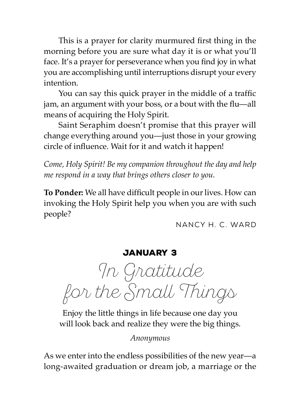This is a prayer for clarity murmured first thing in the morning before you are sure what day it is or what you'll face. It's a prayer for perseverance when you find joy in what you are accomplishing until interruptions disrupt your every intention.

You can say this quick prayer in the middle of a traffic jam, an argument with your boss, or a bout with the flu—all means of acquiring the Holy Spirit.

Saint Seraphim doesn't promise that this prayer will change everything around you—just those in your growing circle of influence. Wait for it and watch it happen!

*Come, Holy Spirit! Be my companion throughout the day and help me respond in a way that brings others closer to you.*

**To Ponder:** We all have difficult people in our lives. How can invoking the Holy Spirit help you when you are with such people?

Nancy H. C. Ward

January 3

In Gratitude for the Small Things

Enjoy the little things in life because one day you will look back and realize they were the big things.

*Anonymous*

As we enter into the endless possibilities of the new year—a long-awaited graduation or dream job, a marriage or the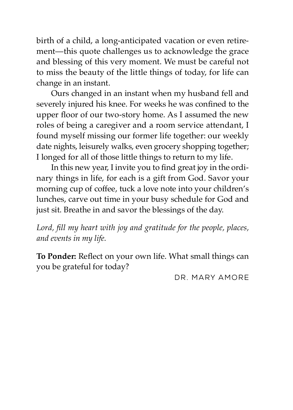birth of a child, a long-anticipated vacation or even retirement—this quote challenges us to acknowledge the grace and blessing of this very moment. We must be careful not to miss the beauty of the little things of today, for life can change in an instant.

Ours changed in an instant when my husband fell and severely injured his knee. For weeks he was confined to the upper floor of our two-story home. As I assumed the new roles of being a caregiver and a room service attendant, I found myself missing our former life together: our weekly date nights, leisurely walks, even grocery shopping together; I longed for all of those little things to return to my life.

In this new year, I invite you to find great joy in the ordinary things in life, for each is a gift from God. Savor your morning cup of coffee, tuck a love note into your children's lunches, carve out time in your busy schedule for God and just sit. Breathe in and savor the blessings of the day.

*Lord, fill my heart with joy and gratitude for the people, places, and events in my life.*

**To Ponder:** Reflect on your own life. What small things can you be grateful for today?

Dr. Mary Amore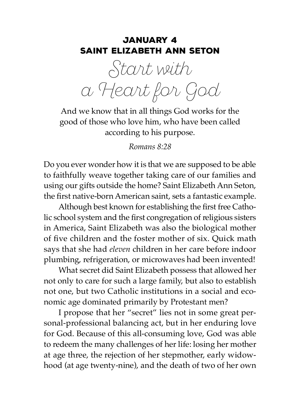#### January 4 Saint Elizabeth Ann Seton

Start with a Heart for God

And we know that in all things God works for the good of those who love him, who have been called according to his purpose.

*Romans 8:28*

Do you ever wonder how it is that we are supposed to be able to faithfully weave together taking care of our families and using our gifts outside the home? Saint Elizabeth Ann Seton, the first native-born American saint, sets a fantastic example.

Although best known for establishing the first free Catholic school system and the first congregation of religious sisters in America, Saint Elizabeth was also the biological mother of five children and the foster mother of six. Quick math says that she had *eleven* children in her care before indoor plumbing, refrigeration, or microwaves had been invented!

What secret did Saint Elizabeth possess that allowed her not only to care for such a large family, but also to establish not one, but two Catholic institutions in a social and economic age dominated primarily by Protestant men?

I propose that her "secret" lies not in some great personal-professional balancing act, but in her enduring love for God. Because of this all-consuming love, God was able to redeem the many challenges of her life: losing her mother at age three, the rejection of her stepmother, early widowhood (at age twenty-nine), and the death of two of her own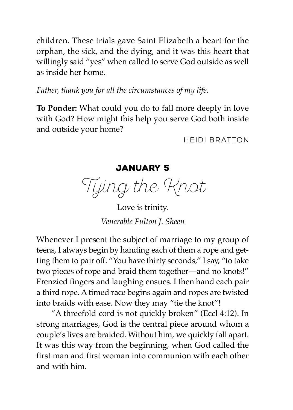children. These trials gave Saint Elizabeth a heart for the orphan, the sick, and the dying, and it was this heart that willingly said "yes" when called to serve God outside as well as inside her home.

*Father, thank you for all the circumstances of my life.*

**To Ponder:** What could you do to fall more deeply in love with God? How might this help you serve God both inside and outside your home?

Heidi Bratton

January 5

Tying the Knot

Love is trinity. *Venerable Fulton J. Sheen*

Whenever I present the subject of marriage to my group of teens, I always begin by handing each of them a rope and getting them to pair off. "You have thirty seconds," I say, "to take two pieces of rope and braid them together—and no knots!" Frenzied fingers and laughing ensues. I then hand each pair a third rope. A timed race begins again and ropes are twisted into braids with ease. Now they may "tie the knot"!

"A threefold cord is not quickly broken" (Eccl 4:12). In strong marriages, God is the central piece around whom a couple's lives are braided. Without him, we quickly fall apart. It was this way from the beginning, when God called the first man and first woman into communion with each other and with him.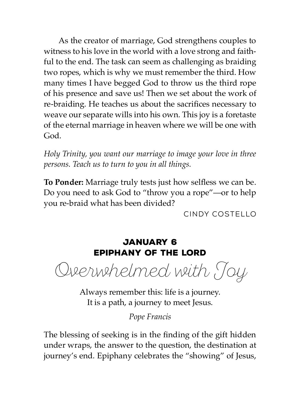As the creator of marriage, God strengthens couples to witness to his love in the world with a love strong and faithful to the end. The task can seem as challenging as braiding two ropes, which is why we must remember the third. How many times I have begged God to throw us the third rope of his presence and save us! Then we set about the work of re-braiding. He teaches us about the sacrifices necessary to weave our separate wills into his own. This joy is a foretaste of the eternal marriage in heaven where we will be one with God.

*Holy Trinity, you want our marriage to image your love in three persons. Teach us to turn to you in all things.*

**To Ponder:** Marriage truly tests just how selfless we can be. Do you need to ask God to "throw you a rope"—or to help you re-braid what has been divided?

Cindy Costello

## January 6 Epiphany of the Lord

Overwhelmed with Joy

Always remember this: life is a journey. It is a path, a journey to meet Jesus.

*Pope Francis*

The blessing of seeking is in the finding of the gift hidden under wraps, the answer to the question, the destination at journey's end. Epiphany celebrates the "showing" of Jesus,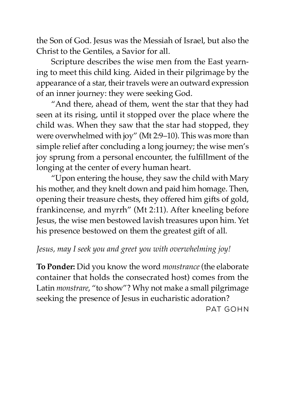the Son of God. Jesus was the Messiah of Israel, but also the Christ to the Gentiles, a Savior for all.

Scripture describes the wise men from the East yearning to meet this child king. Aided in their pilgrimage by the appearance of a star, their travels were an outward expression of an inner journey: they were seeking God.

"And there, ahead of them, went the star that they had seen at its rising, until it stopped over the place where the child was. When they saw that the star had stopped, they were overwhelmed with joy" (Mt 2:9–10). This was more than simple relief after concluding a long journey; the wise men's joy sprung from a personal encounter, the fulfillment of the longing at the center of every human heart.

"Upon entering the house, they saw the child with Mary his mother, and they knelt down and paid him homage. Then, opening their treasure chests, they offered him gifts of gold, frankincense, and myrrh" (Mt 2:11). After kneeling before Jesus, the wise men bestowed lavish treasures upon him. Yet his presence bestowed on them the greatest gift of all.

## *Jesus, may I seek you and greet you with overwhelming joy!*

**To Ponder:** Did you know the word *monstrance* (the elaborate container that holds the consecrated host) comes from the Latin *monstrare*, "to show"? Why not make a small pilgrimage seeking the presence of Jesus in eucharistic adoration?

Pat Gohn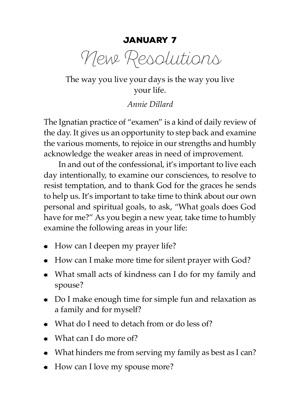January 7

New Resolutions

The way you live your days is the way you live your life.

*Annie Dillard*

The Ignatian practice of "examen" is a kind of daily review of the day. It gives us an opportunity to step back and examine the various moments, to rejoice in our strengths and humbly acknowledge the weaker areas in need of improvement.

In and out of the confessional, it's important to live each day intentionally, to examine our consciences, to resolve to resist temptation, and to thank God for the graces he sends to help us. It's important to take time to think about our own personal and spiritual goals, to ask, "What goals does God have for me?" As you begin a new year, take time to humbly examine the following areas in your life:

- $\bullet$  How can I deepen my prayer life?
- How can I make more time for silent prayer with God?
- What small acts of kindness can I do for my family and spouse?
- Do I make enough time for simple fun and relaxation as a family and for myself?
- $\bullet$  What do I need to detach from or do less of?
- $\bullet$  What can I do more of?
- What hinders me from serving my family as best as I can?
- How can I love my spouse more?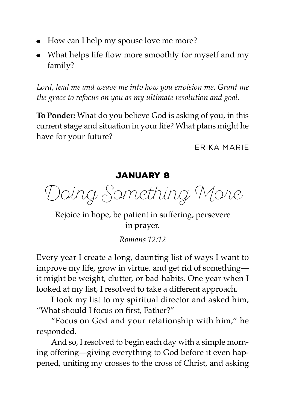- $\bullet$  How can I help my spouse love me more?
- What helps life flow more smoothly for myself and my family?

*Lord, lead me and weave me into how you envision me. Grant me the grace to refocus on you as my ultimate resolution and goal.*

**To Ponder:** What do you believe God is asking of you, in this current stage and situation in your life? What plans might he have for your future?

Erika Marie

# January 8

Doing Something More

Rejoice in hope, be patient in suffering, persevere in prayer.

*Romans 12:12*

Every year I create a long, daunting list of ways I want to improve my life, grow in virtue, and get rid of something it might be weight, clutter, or bad habits. One year when I looked at my list, I resolved to take a different approach.

I took my list to my spiritual director and asked him, "What should I focus on first, Father?"

"Focus on God and your relationship with him," he responded.

And so, I resolved to begin each day with a simple morning offering—giving everything to God before it even happened, uniting my crosses to the cross of Christ, and asking